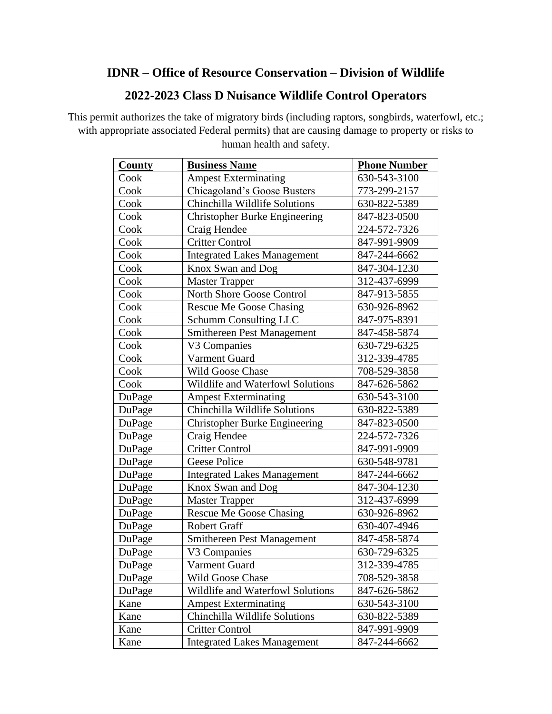## **IDNR – Office of Resource Conservation – Division of Wildlife**

## **2022-2023 Class D Nuisance Wildlife Control Operators**

This permit authorizes the take of migratory birds (including raptors, songbirds, waterfowl, etc.; with appropriate associated Federal permits) that are causing damage to property or risks to human health and safety.

| <b>County</b> | <b>Business Name</b>                 | <b>Phone Number</b> |
|---------------|--------------------------------------|---------------------|
| Cook          | <b>Ampest Exterminating</b>          | 630-543-3100        |
| Cook          | Chicagoland's Goose Busters          | 773-299-2157        |
| Cook          | Chinchilla Wildlife Solutions        | 630-822-5389        |
| Cook          | <b>Christopher Burke Engineering</b> | 847-823-0500        |
| Cook          | Craig Hendee                         | 224-572-7326        |
| Cook          | <b>Critter Control</b>               | 847-991-9909        |
| Cook          | <b>Integrated Lakes Management</b>   | 847-244-6662        |
| Cook          | Knox Swan and Dog                    | 847-304-1230        |
| Cook          | <b>Master Trapper</b>                | 312-437-6999        |
| Cook          | North Shore Goose Control            | 847-913-5855        |
| Cook          | <b>Rescue Me Goose Chasing</b>       | 630-926-8962        |
| Cook          | <b>Schumm Consulting LLC</b>         | 847-975-8391        |
| Cook          | Smithereen Pest Management           | 847-458-5874        |
| Cook          | V3 Companies                         | 630-729-6325        |
| Cook          | Varment Guard                        | 312-339-4785        |
| Cook          | Wild Goose Chase                     | 708-529-3858        |
| Cook          | Wildlife and Waterfowl Solutions     | 847-626-5862        |
| DuPage        | <b>Ampest Exterminating</b>          | 630-543-3100        |
| DuPage        | Chinchilla Wildlife Solutions        | 630-822-5389        |
| DuPage        | <b>Christopher Burke Engineering</b> | 847-823-0500        |
| DuPage        | Craig Hendee                         | 224-572-7326        |
| DuPage        | <b>Critter Control</b>               | 847-991-9909        |
| DuPage        | <b>Geese Police</b>                  | 630-548-9781        |
| DuPage        | <b>Integrated Lakes Management</b>   | 847-244-6662        |
| DuPage        | Knox Swan and Dog                    | 847-304-1230        |
| DuPage        | <b>Master Trapper</b>                | 312-437-6999        |
| DuPage        | <b>Rescue Me Goose Chasing</b>       | 630-926-8962        |
| DuPage        | <b>Robert Graff</b>                  | 630-407-4946        |
| DuPage        | <b>Smithereen Pest Management</b>    | 847-458-5874        |
| DuPage        | V3 Companies                         | 630-729-6325        |
| DuPage        | Varment Guard                        | 312-339-4785        |
| DuPage        | Wild Goose Chase                     | 708-529-3858        |
| DuPage        | Wildlife and Waterfowl Solutions     | 847-626-5862        |
| Kane          | <b>Ampest Exterminating</b>          | 630-543-3100        |
| Kane          | Chinchilla Wildlife Solutions        | 630-822-5389        |
| Kane          | <b>Critter Control</b>               | 847-991-9909        |
| Kane          | <b>Integrated Lakes Management</b>   | 847-244-6662        |